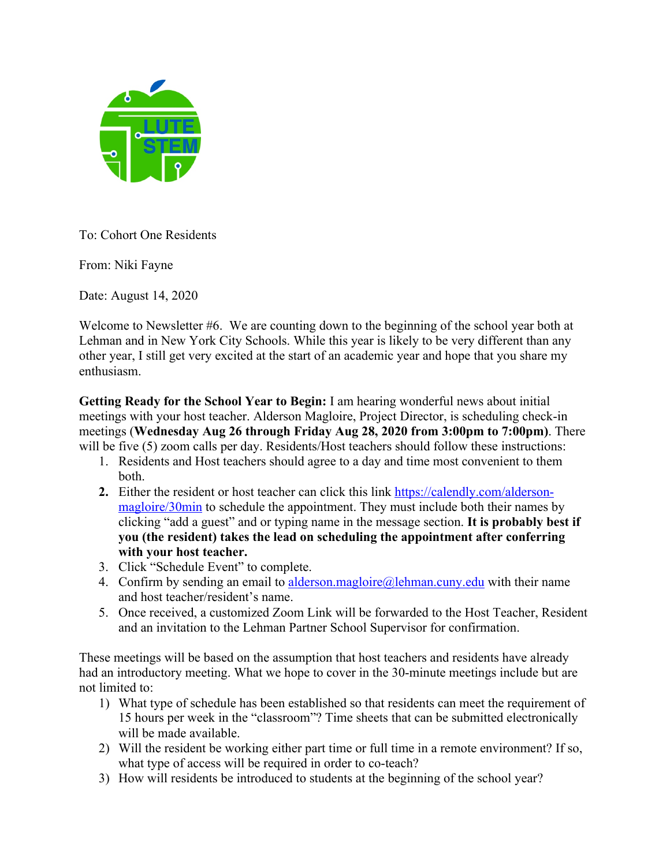

To: Cohort One Residents

From: Niki Fayne

Date: August 14, 2020

Welcome to Newsletter #6. We are counting down to the beginning of the school year both at Lehman and in New York City Schools. While this year is likely to be very different than any other year, I still get very excited at the start of an academic year and hope that you share my enthusiasm.

**Getting Ready for the School Year to Begin:** I am hearing wonderful news about initial meetings with your host teacher. Alderson Magloire, Project Director, is scheduling check-in meetings (**Wednesday Aug 26 through Friday Aug 28, 2020 from 3:00pm to 7:00pm)**. There will be five (5) zoom calls per day. Residents/Host teachers should follow these instructions:

- 1. Residents and Host teachers should agree to a day and time most convenient to them both.
- **2.** Either the resident or host teacher can click this link https://calendly.com/aldersonmagloire/30min to schedule the appointment. They must include both their names by clicking "add a guest" and or typing name in the message section. **It is probably best if you (the resident) takes the lead on scheduling the appointment after conferring with your host teacher.**
- 3. Click "Schedule Event" to complete.
- 4. Confirm by sending an email to alderson.magloire@lehman.cuny.edu with their name and host teacher/resident's name.
- 5. Once received, a customized Zoom Link will be forwarded to the Host Teacher, Resident and an invitation to the Lehman Partner School Supervisor for confirmation.

These meetings will be based on the assumption that host teachers and residents have already had an introductory meeting. What we hope to cover in the 30-minute meetings include but are not limited to:

- 1) What type of schedule has been established so that residents can meet the requirement of 15 hours per week in the "classroom"? Time sheets that can be submitted electronically will be made available.
- 2) Will the resident be working either part time or full time in a remote environment? If so, what type of access will be required in order to co-teach?
- 3) How will residents be introduced to students at the beginning of the school year?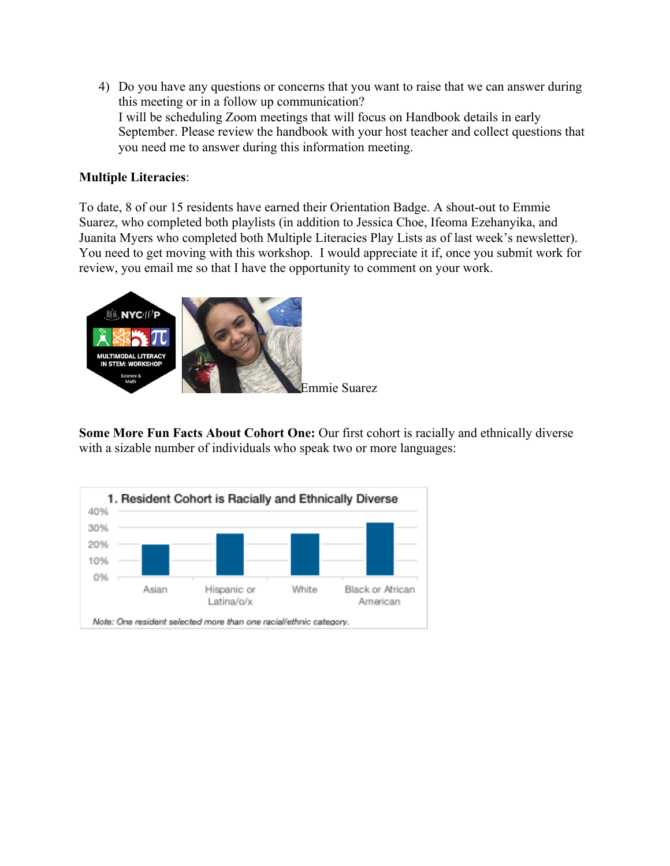4) Do you have any questions or concerns that you want to raise that we can answer during this meeting or in a follow up communication? I will be scheduling Zoom meetings that will focus on Handbook details in early September. Please review the handbook with your host teacher and collect questions that you need me to answer during this information meeting.

## **Multiple Literacies**:

To date, 8 of our 15 residents have earned their Orientation Badge. A shout-out to Emmie Suarez, who completed both playlists (in addition to Jessica Choe, Ifeoma Ezehanyika, and Juanita Myers who completed both Multiple Literacies Play Lists as of last week's newsletter). You need to get moving with this workshop. I would appreciate it if, once you submit work for review, you email me so that I have the opportunity to comment on your work.



**Some More Fun Facts About Cohort One:** Our first cohort is racially and ethnically diverse with a sizable number of individuals who speak two or more languages: